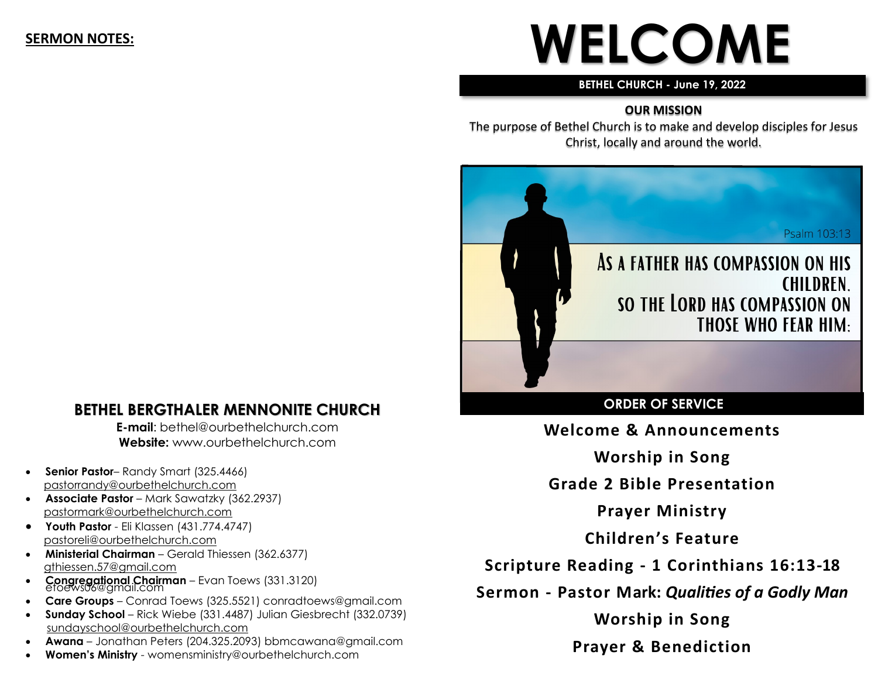#### **SERMON NOTES:**

# **WELCOME**

#### **BETHEL CHURCH - June 19, 2022**

#### **OUR MISSION**

The purpose of Bethel Church is to make and develop disciples for Jesus Christ, locally and around the world.



#### **ORDER OF SERVICE**

**Welcome & Announcements**

**Worship in Song**

**Grade 2 Bible Presentation**

**Prayer Ministry**

**Children's Feature**

**Scripture Reading - 1 Corinthians 16:13-18**

**Sermon - Pastor Mark:** *Qualities of a Godly Man*

**Worship in Song**

**Prayer & Benediction**

#### **BETHEL BERGTHALER MENNONITE CHURCH**

**E-mail**: bethel@ourbethelchurch.com **Website:** www.ourbethelchurch.com

- **Senior Pastor** Randy Smart (325.4466) pastorrandy@ourbethelchurch.com
- **Associate Pastor**  Mark Sawatzky (362.2937) [pastormark@ourbethelchurch.com](mailto:pastormark@ourbethelchurch.com)
- **Youth Pastor**  Eli Klassen (431.774.4747) pastoreli@ourbethelchurch.com
- **Ministerial Chairman** Gerald Thiessen (362.6377) gthiessen.57@gmail.com
- **Congregational Chairman** Evan Toews (331.3120) etoews06@gmail.com
- **Care Groups** Conrad Toews (325.5521) conradtoews@gmail.com
- **Sunday School** Rick Wiebe (331.4487) Julian Giesbrecht (332.0739) sundayschool@ourbethelchurch.com
- **Awana** Jonathan Peters (204.325.2093) bbmcawana@gmail.com
- **Women's Ministry**  womensministry@ourbethelchurch.com